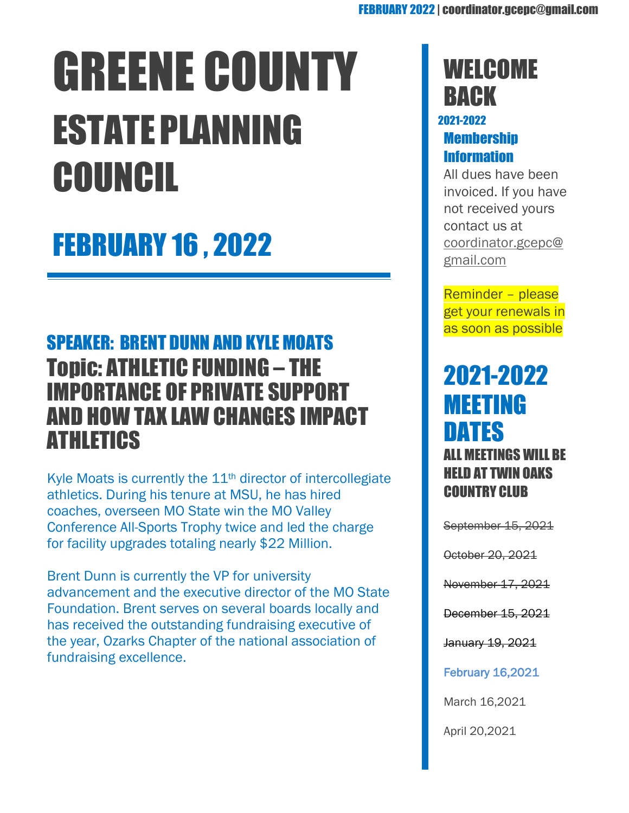# GREENE COUNTY ESTATEPLANNING COUNCIL

# FEBRUARY 16 , 2022

## SPEAKER: BRENT DUNN AND KYLE MOATS Topic: ATHLETIC FUNDING – THE IMPORTANCE OF PRIVATE SUPPORT AND HOW TAX LAW CHANGES IMPACT ATHLETICS

Kyle Moats is currently the  $11<sup>th</sup>$  director of intercollegiate athletics. During his tenure at MSU, he has hired coaches, overseen MO State win the MO Valley Conference All-Sports Trophy twice and led the charge for facility upgrades totaling nearly \$22 Million.

Brent Dunn is currently the VP for university advancement and the executive director of the MO State Foundation. Brent serves on several boards locally and has received the outstanding fundraising executive of the year, Ozarks Chapter of the national association of fundraising excellence.

# **WELCOME BACK**

#### 2021-2022 **Membership** Information

All dues have been invoiced. If you have not received yours contact us at [coordinator.gcepc@](mailto:coordinator.gcepc@gmail.com) [gmail.com](mailto:coordinator.gcepc@gmail.com)

Reminder – please get your renewals in as soon as possible

### 2021-2022 MEETING DATES ALL MEETINGS WILL BE HELD AT TWIN OAKS COUNTRY CLUB

September 15, 2021

October 20, 2021

November 17, 2021

December 15, 2021

January 19, 2021

February 16,2021

March 16,2021

April 20,2021